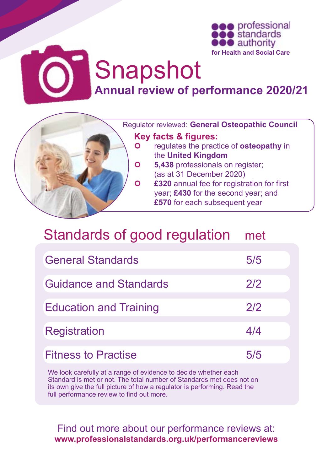

# Snapshot **Annual review of performance 2020/21**



## Standards of good regulation met

| <b>General Standards</b>      | 5/5 |
|-------------------------------|-----|
| <b>Guidance and Standards</b> | 2/2 |
| <b>Education and Training</b> | 2/2 |
| <b>Registration</b>           | 4/4 |
| <b>Fitness to Practise</b>    | 5/5 |

We look carefully at a range of evidence to decide whether each Standard is met or not. The total number of Standards met does not on its own give the full picture of how a regulator is performing. Read the full performance review to find out more.

Find out more about our performance reviews at: **[www.professionalstandards.org.uk/performancereviews](https://www.professionalstandards.org.uk/what-we-do/our-work-with-regulators/read-performance-reviews)**